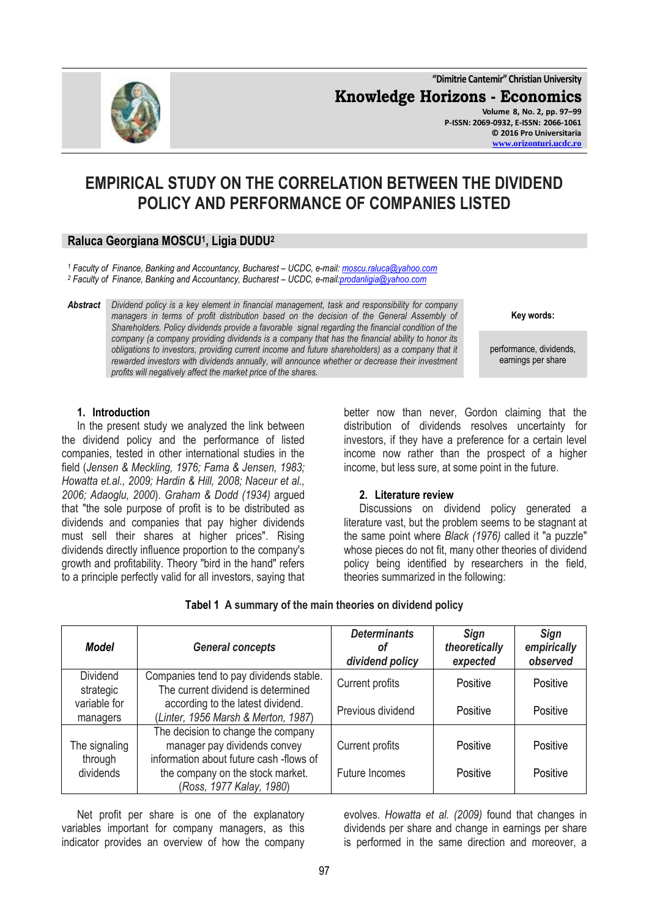**"Dimitrie Cantemir" Christian University Knowledge Horizons - Economics**

**Volume 8, No. 2, pp. 97–99 P-ISSN: 2069-0932, E-ISSN: 2066-1061 © 2016 Pro Universitaria [www.orizonturi.ucdc.ro](http://www.orizonturi.ucdc.ro/)**

# **EMPIRICAL STUDY ON THE CORRELATION BETWEEN THE DIVIDEND POLICY AND PERFORMANCE OF COMPANIES LISTED**

# **Raluca Georgiana MOSCU<sup>1</sup> , Ligia DUDU<sup>2</sup>**

*<sup>1</sup> Faculty of Finance, Banking and Accountancy, Bucharest – UCDC, e-mail: [moscu.raluca@yahoo.com](mailto:moscu.raluca@yahoo.com) <sup>2</sup> Faculty of Finance, Banking and Accountancy, Bucharest – UCDC, e-mail[:prodanligia@yahoo.com](mailto:prodanligia@yahoo.com)*

*Abstract Dividend policy is a key element in financial management, task and responsibility for company managers in terms of profit distribution based on the decision of the General Assembly of Shareholders. Policy dividends provide a favorable signal regarding the financial condition of the company (a company providing dividends is a company that has the financial ability to honor its obligations to investors, providing current income and future shareholders) as a company that it*  rewarded investors with dividends annually, will announce whether or decrease their investment *profits will negatively affect the market price of the shares.*

#### **Key words:**

performance, dividends, earnings per share

#### **1. Introduction**

In the present study we analyzed the link between the dividend policy and the performance of listed companies, tested in other international studies in the field (*Jensen & Meckling, 1976; Fama & Jensen, 1983; Howatta et.al., 2009; Hardin & Hill, 2008; Naceur et al., 2006; Adaoglu, 2000*). *Graham & Dodd (1934)* argued that "the sole purpose of profit is to be distributed as dividends and companies that pay higher dividends must sell their shares at higher prices". Rising dividends directly influence proportion to the company's growth and profitability. Theory "bird in the hand" refers to a principle perfectly valid for all investors, saying that better now than never, Gordon claiming that the distribution of dividends resolves uncertainty for investors, if they have a preference for a certain level income now rather than the prospect of a higher income, but less sure, at some point in the future.

#### **2. Literature review**

Discussions on dividend policy generated a literature vast, but the problem seems to be stagnant at the same point where *Black (1976)* called it "a puzzle" whose pieces do not fit, many other theories of dividend policy being identified by researchers in the field, theories summarized in the following:

| <b>Model</b>                 | <b>General concepts</b>                                                                                       | <b>Determinants</b><br>Οt<br>dividend policy | <b>Sign</b><br>theoretically<br>expected | <b>Sign</b><br>empirically<br>observed |
|------------------------------|---------------------------------------------------------------------------------------------------------------|----------------------------------------------|------------------------------------------|----------------------------------------|
| <b>Dividend</b><br>strategic | Companies tend to pay dividends stable.<br>The current dividend is determined                                 | <b>Current profits</b>                       | Positive                                 | Positive                               |
| variable for<br>managers     | according to the latest dividend.<br>(Linter, 1956 Marsh & Merton, 1987)                                      | Previous dividend                            | Positive                                 | Positive                               |
| The signaling<br>through     | The decision to change the company<br>manager pay dividends convey<br>information about future cash -flows of | <b>Current profits</b>                       | Positive                                 | Positive                               |
| dividends                    | the company on the stock market.<br>(Ross, 1977 Kalay, 1980)                                                  | Future Incomes                               | Positive                                 | Positive                               |

# **Tabel 1 A summary of the main theories on dividend policy**

Net profit per share is one of the explanatory variables important for company managers, as this indicator provides an overview of how the company evolves. *Howatta et al. (2009)* found that changes in dividends per share and change in earnings per share is performed in the same direction and moreover, a

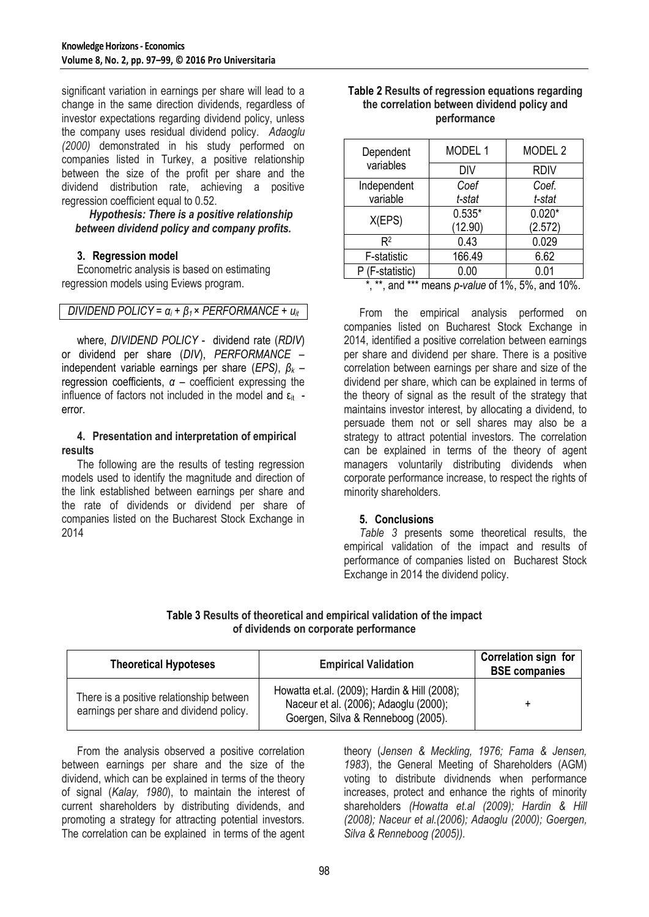significant variation in earnings per share will lead to a change in the same direction dividends, regardless of investor expectations regarding dividend policy, unless the company uses residual dividend policy. *Adaoglu (2000)* demonstrated in his study performed on companies listed in Turkey, a positive relationship between the size of the profit per share and the dividend distribution rate, achieving a positive regression coefficient equal to 0.52.

*Hypothesis: There is a positive relationship between dividend policy and company profits.*

### **3. Regression model**

Econometric analysis is based on estimating regression models using Eviews program.

*DIVIDEND POLICY* =  $\alpha_i$  +  $\beta_1$  × *PERFORMANCE* +  $u_{it}$ 

where, *DIVIDEND POLICY* - dividend rate (*RDIV*) or dividend per share (*DIV*), *PERFORMANCE* – independent variable earnings per share (*EPS)*, *β<sup>k</sup>* – regression coefficients, *α* – coefficient expressing the influence of factors not included in the model and  $\varepsilon_{it}$  error.

#### **4. Presentation and interpretation of empirical results**

The following are the results of testing regression models used to identify the magnitude and direction of the link established between earnings per share and the rate of dividends or dividend per share of companies listed on the Bucharest Stock Exchange in 2014

#### **Table 2 Results of regression equations regarding the correlation between dividend policy and performance**

| Dependent                                                      | MODEL 1    | MODEL <sub>2</sub> |  |  |  |
|----------------------------------------------------------------|------------|--------------------|--|--|--|
| variables                                                      | <b>DIV</b> | <b>RDIV</b>        |  |  |  |
| Independent                                                    | Coef       | Coef.              |  |  |  |
| variable                                                       | t-stat     | t-stat             |  |  |  |
| X(EPS)                                                         | $0.535*$   | $0.020*$           |  |  |  |
|                                                                | (12.90)    | (2.572)            |  |  |  |
| $R^2$                                                          | 0.43       | 0.029              |  |  |  |
| F-statistic                                                    | 166.49     | 6.62               |  |  |  |
| (F-statistic)<br>P                                             | 0.00       | 0.01               |  |  |  |
| $*** - -1$ ***<br>$m \cdot 10$<br>$^{\star}$<br>E O/<br>2.400/ |            |                    |  |  |  |

\*, \*\*, and \*\*\* means *p-value* of 1%, 5%, and 10%.

From the empirical analysis performed on companies listed on Bucharest Stock Exchange in 2014, identified a positive correlation between earnings per share and dividend per share. There is a positive correlation between earnings per share and size of the dividend per share, which can be explained in terms of the theory of signal as the result of the strategy that maintains investor interest, by allocating a dividend, to persuade them not or sell shares may also be a strategy to attract potential investors. The correlation can be explained in terms of the theory of agent managers voluntarily distributing dividends when corporate performance increase, to respect the rights of minority shareholders.

# **5. Conclusions**

*Table 3* presents some theoretical results, the empirical validation of the impact and results of performance of companies listed on Bucharest Stock Exchange in 2014 the dividend policy.

**Table 3 Results of theoretical and empirical validation of the impact of dividends on corporate performance**

| <b>Theoretical Hypoteses</b>                                                        | <b>Empirical Validation</b>                                                                                                 | <b>Correlation sign for</b><br><b>BSE companies</b> |
|-------------------------------------------------------------------------------------|-----------------------------------------------------------------------------------------------------------------------------|-----------------------------------------------------|
| There is a positive relationship between<br>earnings per share and dividend policy. | Howatta et.al. (2009); Hardin & Hill (2008);<br>Naceur et al. (2006); Adaoglu (2000);<br>Goergen, Silva & Renneboog (2005). |                                                     |

From the analysis observed a positive correlation between earnings per share and the size of the dividend, which can be explained in terms of the theory of signal (*Kalay, 1980*), to maintain the interest of current shareholders by distributing dividends, and promoting a strategy for attracting potential investors. The correlation can be explained in terms of the agent theory (*Jensen & Meckling, 1976; Fama & Jensen, 1983*), the General Meeting of Shareholders (AGM) voting to distribute dividnends when performance increases, protect and enhance the rights of minority shareholders *(Howatta et.al (2009); Hardin & Hill (2008); Naceur et al.(2006); Adaoglu (2000); Goergen, Silva & Renneboog (2005)).*